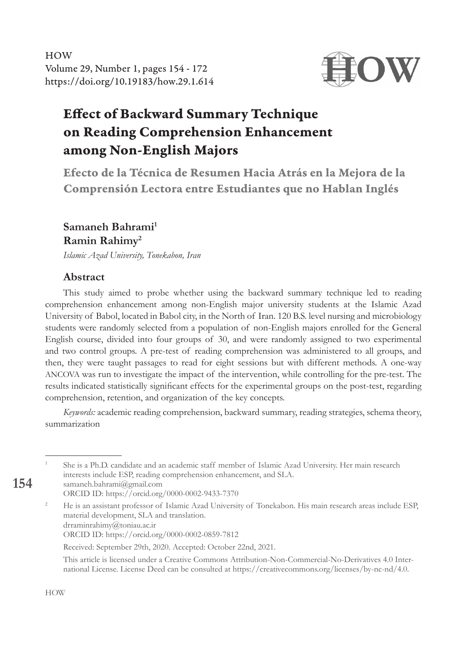Samaneh Bahrami, HOW Volume 29, Number 1, pages 154 - 172 https://doi.org/10.19183/how.29.1.614



# Effect of Backward Summary Technique on Reading Comprehension Enhancement among Non-English Majors

Efecto de la Técnica de Resumen Hacia Atrás en la Mejora de la Comprensión Lectora entre Estudiantes que no Hablan Inglés

#### **Samaneh Bahrami1 Ramin Rahimy2**

*Islamic Azad University, Tonekabon, Iran*

#### **Abstract**

This study aimed to probe whether using the backward summary technique led to reading comprehension enhancement among non-English major university students at the Islamic Azad University of Babol, located in Babol city, in the North of Iran. 120 B.S. level nursing and microbiology students were randomly selected from a population of non-English majors enrolled for the General English course, divided into four groups of 30, and were randomly assigned to two experimental and two control groups. A pre-test of reading comprehension was administered to all groups, and then, they were taught passages to read for eight sessions but with different methods. A one-way ANCOVA was run to investigate the impact of the intervention, while controlling for the pre-test. The results indicated statistically significant effects for the experimental groups on the post-test, regarding comprehension, retention, and organization of the key concepts.

*Keywords:* academic reading comprehension, backward summary, reading strategies, schema theory, summarization

- <sup>1</sup> She is a Ph.D. candidate and an academic staff member of Islamic Azad University. Her main research interests include ESP, reading comprehension enhancement, and SLA. samaneh.bahrami@gmail.com
	- ORCID ID: https://orcid.org/0000-0002-9433-7370
- <sup>2</sup> He is an assistant professor of Islamic Azad University of Tonekabon. His main research areas include ESP, material development, SLA and translation. drraminrahimy@toniau.ac.ir
	- ORCID ID: https://orcid.org/0000-0002-0859-7812

Received: September 29th, 2020. Accepted: October 22nd, 2021.

This article is licensed under a Creative Commons Attribution-Non-Commercial-No-Derivatives 4.0 International License. License Deed can be consulted at https://creativecommons.org/licenses/by-nc-nd/4.0.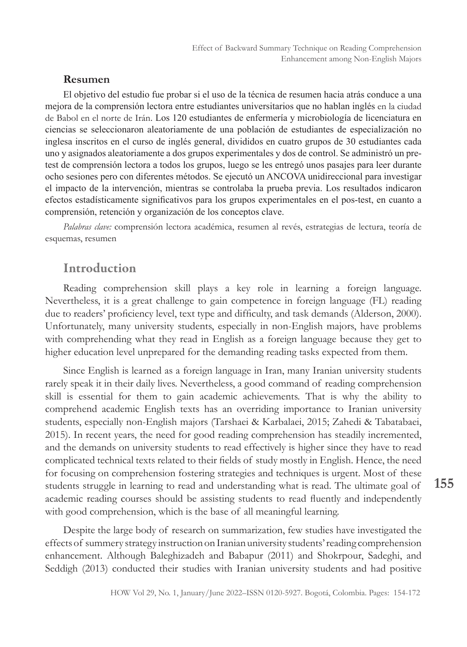#### **Resumen**

El objetivo del estudio fue probar si el uso de la técnica de resumen hacia atrás conduce a una mejora de la comprensión lectora entre estudiantes universitarios que no hablan inglés en la ciudad de Babol en el norte de Irán. Los 120 estudiantes de enfermería y microbiología de licenciatura en ciencias se seleccionaron aleatoriamente de una población de estudiantes de especialización no inglesa inscritos en el curso de inglés general, divididos en cuatro grupos de 30 estudiantes cada uno y asignados aleatoriamente a dos grupos experimentales y dos de control. Se administró un pretest de comprensión lectora a todos los grupos, luego se les entregó unos pasajes para leer durante ocho sesiones pero con diferentes métodos. Se ejecutó un ANCOVA unidireccional para investigar el impacto de la intervención, mientras se controlaba la prueba previa. Los resultados indicaron efectos estadísticamente significativos para los grupos experimentales en el pos-test, en cuanto a comprensión, retención y organización de los conceptos clave.

*Palabras clave:* comprensión lectora académica, resumen al revés, estrategias de lectura, teoría de esquemas, resumen

# Introduction

Reading comprehension skill plays a key role in learning a foreign language. Nevertheless, it is a great challenge to gain competence in foreign language (FL) reading due to readers' proficiency level, text type and difficulty, and task demands (Alderson, 2000). Unfortunately, many university students, especially in non-English majors, have problems with comprehending what they read in English as a foreign language because they get to higher education level unprepared for the demanding reading tasks expected from them.

Since English is learned as a foreign language in Iran, many Iranian university students rarely speak it in their daily lives. Nevertheless, a good command of reading comprehension skill is essential for them to gain academic achievements. That is why the ability to comprehend academic English texts has an overriding importance to Iranian university students, especially non-English majors (Tarshaei & Karbalaei, 2015; Zahedi & Tabatabaei, 2015). In recent years, the need for good reading comprehension has steadily incremented, and the demands on university students to read effectively is higher since they have to read complicated technical texts related to their fields of study mostly in English. Hence, the need for focusing on comprehension fostering strategies and techniques is urgent. Most of these students struggle in learning to read and understanding what is read. The ultimate goal of academic reading courses should be assisting students to read fluently and independently with good comprehension, which is the base of all meaningful learning.

Despite the large body of research on summarization, few studies have investigated the effects of summery strategy instruction on Iranian university students' reading comprehension enhancement. Although Baleghizadeh and Babapur (2011) and Shokrpour, Sadeghi, and Seddigh (2013) conducted their studies with Iranian university students and had positive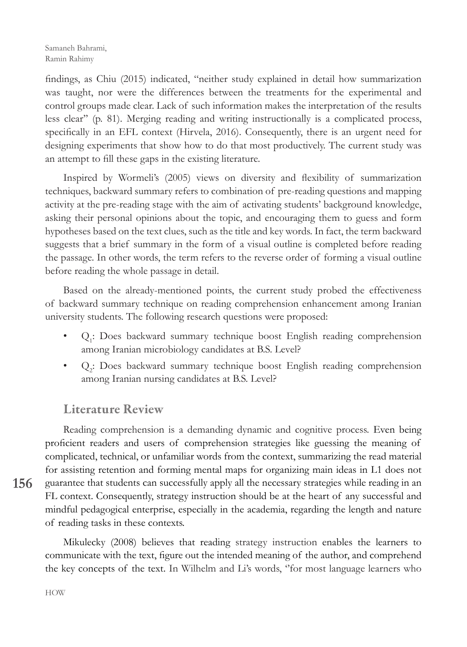Samaneh Bahrami, Ramin Rahimy

findings, as Chiu (2015) indicated, "neither study explained in detail how summarization was taught, nor were the differences between the treatments for the experimental and control groups made clear. Lack of such information makes the interpretation of the results less clear'' (p. 81). Merging reading and writing instructionally is a complicated process, specifically in an EFL context (Hirvela, 2016). Consequently, there is an urgent need for designing experiments that show how to do that most productively. The current study was an attempt to fill these gaps in the existing literature.

Inspired by Wormeli's (2005) views on diversity and flexibility of summarization techniques, backward summary refers to combination of pre-reading questions and mapping activity at the pre-reading stage with the aim of activating students' background knowledge, asking their personal opinions about the topic, and encouraging them to guess and form hypotheses based on the text clues, such as the title and key words. In fact, the term backward suggests that a brief summary in the form of a visual outline is completed before reading the passage. In other words, the term refers to the reverse order of forming a visual outline before reading the whole passage in detail.

Based on the already-mentioned points, the current study probed the effectiveness of backward summary technique on reading comprehension enhancement among Iranian university students. The following research questions were proposed:

- Q<sub>1</sub>: Does backward summary technique boost English reading comprehension among Iranian microbiology candidates at B.S. Level?
- Q<sub>2</sub>: Does backward summary technique boost English reading comprehension among Iranian nursing candidates at B.S. Level?

## Literature Review

Reading comprehension is a demanding dynamic and cognitive process. Even being proficient readers and users of comprehension strategies like guessing the meaning of complicated, technical, or unfamiliar words from the context, summarizing the read material for assisting retention and forming mental maps for organizing main ideas in L1 does not guarantee that students can successfully apply all the necessary strategies while reading in an FL context. Consequently, strategy instruction should be at the heart of any successful and mindful pedagogical enterprise, especially in the academia, regarding the length and nature of reading tasks in these contexts.

Mikulecky (2008) believes that reading strategy instruction enables the learners to communicate with the text, figure out the intended meaning of the author, and comprehend the key concepts of the text. In Wilhelm and Li's words, ''for most language learners who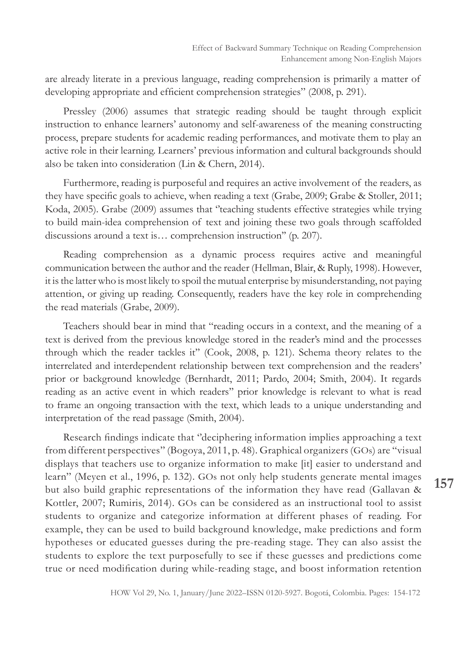are already literate in a previous language, reading comprehension is primarily a matter of developing appropriate and efficient comprehension strategies" (2008, p. 291).

Pressley (2006) assumes that strategic reading should be taught through explicit instruction to enhance learners' autonomy and self-awareness of the meaning constructing process, prepare students for academic reading performances, and motivate them to play an active role in their learning. Learners' previous information and cultural backgrounds should also be taken into consideration (Lin & Chern, 2014).

Furthermore, reading is purposeful and requires an active involvement of the readers, as they have specific goals to achieve, when reading a text (Grabe, 2009; Grabe & Stoller, 2011; Koda, 2005). Grabe (2009) assumes that ''teaching students effective strategies while trying to build main-idea comprehension of text and joining these two goals through scaffolded discussions around a text is… comprehension instruction'' (p. 207).

Reading comprehension as a dynamic process requires active and meaningful communication between the author and the reader (Hellman, Blair, & Ruply, 1998). However, it is the latter who is most likely to spoil the mutual enterprise by misunderstanding, not paying attention, or giving up reading. Consequently, readers have the key role in comprehending the read materials (Grabe, 2009).

Teachers should bear in mind that "reading occurs in a context, and the meaning of a text is derived from the previous knowledge stored in the reader's mind and the processes through which the reader tackles it'' (Cook, 2008, p. 121). Schema theory relates to the interrelated and interdependent relationship between text comprehension and the readers' prior or background knowledge (Bernhardt, 2011; Pardo, 2004; Smith, 2004). It regards reading as an active event in which readers'' prior knowledge is relevant to what is read to frame an ongoing transaction with the text, which leads to a unique understanding and interpretation of the read passage (Smith, 2004).

Research findings indicate that ''deciphering information implies approaching a text from different perspectives'' (Bogoya, 2011, p. 48). Graphical organizers (GOs) are "visual displays that teachers use to organize information to make [it] easier to understand and learn'' (Meyen et al., 1996, p. 132). GOs not only help students generate mental images but also build graphic representations of the information they have read (Gallavan & Kottler, 2007; Rumiris, 2014). GOs can be considered as an instructional tool to assist students to organize and categorize information at different phases of reading. For example, they can be used to build background knowledge, make predictions and form hypotheses or educated guesses during the pre-reading stage. They can also assist the students to explore the text purposefully to see if these guesses and predictions come true or need modification during while-reading stage, and boost information retention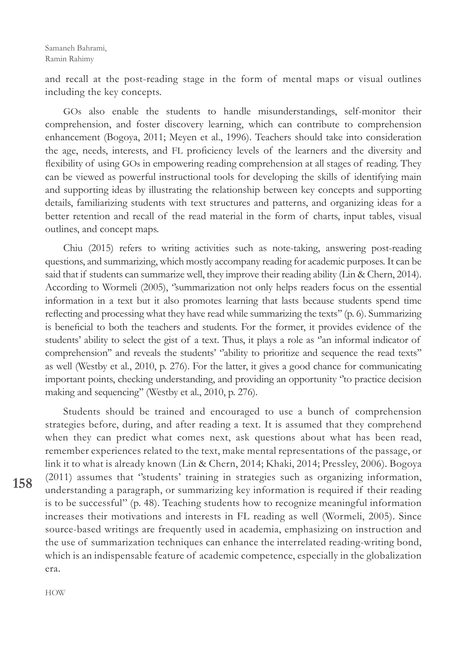and recall at the post-reading stage in the form of mental maps or visual outlines including the key concepts.

GOs also enable the students to handle misunderstandings, self-monitor their comprehension, and foster discovery learning, which can contribute to comprehension enhancement (Bogoya, 2011; Meyen et al., 1996). Teachers should take into consideration the age, needs, interests, and FL proficiency levels of the learners and the diversity and flexibility of using GOs in empowering reading comprehension at all stages of reading. They can be viewed as powerful instructional tools for developing the skills of identifying main and supporting ideas by illustrating the relationship between key concepts and supporting details, familiarizing students with text structures and patterns, and organizing ideas for a better retention and recall of the read material in the form of charts, input tables, visual outlines, and concept maps.

Chiu (2015) refers to writing activities such as note-taking, answering post-reading questions, and summarizing, which mostly accompany reading for academic purposes. It can be said that if students can summarize well, they improve their reading ability (Lin & Chern, 2014). According to Wormeli (2005), ''summarization not only helps readers focus on the essential information in a text but it also promotes learning that lasts because students spend time reflecting and processing what they have read while summarizing the texts'' (p. 6). Summarizing is beneficial to both the teachers and students. For the former, it provides evidence of the students' ability to select the gist of a text. Thus, it plays a role as "an informal indicator of comprehension" and reveals the students' "ability to prioritize and sequence the read texts" as well (Westby et al., 2010, p. 276). For the latter, it gives a good chance for communicating important points, checking understanding, and providing an opportunity ''to practice decision making and sequencing'' (Westby et al., 2010, p. 276).

Students should be trained and encouraged to use a bunch of comprehension strategies before, during, and after reading a text. It is assumed that they comprehend when they can predict what comes next, ask questions about what has been read, remember experiences related to the text, make mental representations of the passage, or link it to what is already known (Lin & Chern, 2014; Khaki, 2014; Pressley, 2006). Bogoya (2011) assumes that ''students' training in strategies such as organizing information, understanding a paragraph, or summarizing key information is required if their reading is to be successful'' (p. 48). Teaching students how to recognize meaningful information increases their motivations and interests in FL reading as well (Wormeli, 2005). Since source-based writings are frequently used in academia, emphasizing on instruction and the use of summarization techniques can enhance the interrelated reading-writing bond, which is an indispensable feature of academic competence, especially in the globalization era.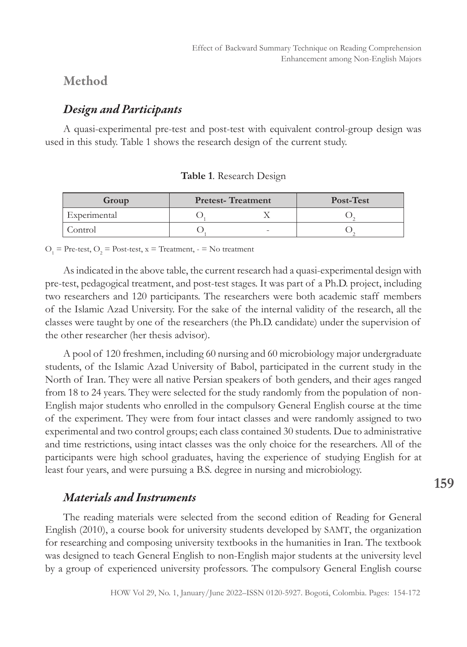## Method

# *Design and Participants*

A quasi-experimental pre-test and post-test with equivalent control-group design was used in this study. Table 1 shows the research design of the current study.

| Group        | <b>Pretest-Treatment</b> | Post-Test |  |  |
|--------------|--------------------------|-----------|--|--|
| Experimental |                          |           |  |  |
| Control      |                          |           |  |  |

**Table 1**. Research Design

 $O_1$  = Pre-test,  $O_2$  = Post-test, x = Treatment, - = No treatment

As indicated in the above table, the current research had a quasi-experimental design with pre-test, pedagogical treatment, and post-test stages. It was part of a Ph.D. project, including two researchers and 120 participants. The researchers were both academic staff members of the Islamic Azad University. For the sake of the internal validity of the research, all the classes were taught by one of the researchers (the Ph.D. candidate) under the supervision of the other researcher (her thesis advisor).

A pool of 120 freshmen, including 60 nursing and 60 microbiology major undergraduate students, of the Islamic Azad University of Babol, participated in the current study in the North of Iran. They were all native Persian speakers of both genders, and their ages ranged from 18 to 24 years. They were selected for the study randomly from the population of non-English major students who enrolled in the compulsory General English course at the time of the experiment. They were from four intact classes and were randomly assigned to two experimental and two control groups; each class contained 30 students. Due to administrative and time restrictions, using intact classes was the only choice for the researchers. All of the participants were high school graduates, having the experience of studying English for at least four years, and were pursuing a B.S. degree in nursing and microbiology.

## *Materials and Instruments*

The reading materials were selected from the second edition of Reading for General English (2010), a course book for university students developed by SAMT, the organization for researching and composing university textbooks in the humanities in Iran. The textbook was designed to teach General English to non-English major students at the university level by a group of experienced university professors. The compulsory General English course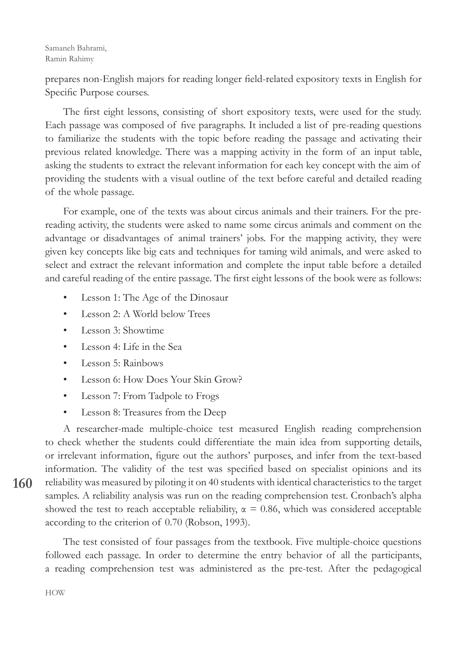prepares non-English majors for reading longer field-related expository texts in English for Specific Purpose courses.

The first eight lessons, consisting of short expository texts, were used for the study. Each passage was composed of five paragraphs. It included a list of pre-reading questions to familiarize the students with the topic before reading the passage and activating their previous related knowledge. There was a mapping activity in the form of an input table, asking the students to extract the relevant information for each key concept with the aim of providing the students with a visual outline of the text before careful and detailed reading of the whole passage.

For example, one of the texts was about circus animals and their trainers. For the prereading activity, the students were asked to name some circus animals and comment on the advantage or disadvantages of animal trainers' jobs. For the mapping activity, they were given key concepts like big cats and techniques for taming wild animals, and were asked to select and extract the relevant information and complete the input table before a detailed and careful reading of the entire passage. The first eight lessons of the book were as follows:

- Lesson 1: The Age of the Dinosaur
- Lesson 2: A World below Trees
- Lesson 3: Showtime
- Lesson 4: Life in the Sea
- Lesson 5: Rainbows
- Lesson 6: How Does Your Skin Grow?
- Lesson 7: From Tadpole to Frogs
- Lesson 8: Treasures from the Deep

A researcher-made multiple-choice test measured English reading comprehension to check whether the students could differentiate the main idea from supporting details, or irrelevant information, figure out the authors' purposes, and infer from the text-based information. The validity of the test was specified based on specialist opinions and its reliability was measured by piloting it on 40 students with identical characteristics to the target samples. A reliability analysis was run on the reading comprehension test. Cronbach's alpha showed the test to reach acceptable reliability,  $\alpha = 0.86$ , which was considered acceptable according to the criterion of 0.70 (Robson, 1993).

The test consisted of four passages from the textbook. Five multiple-choice questions followed each passage. In order to determine the entry behavior of all the participants, a reading comprehension test was administered as the pre-test. After the pedagogical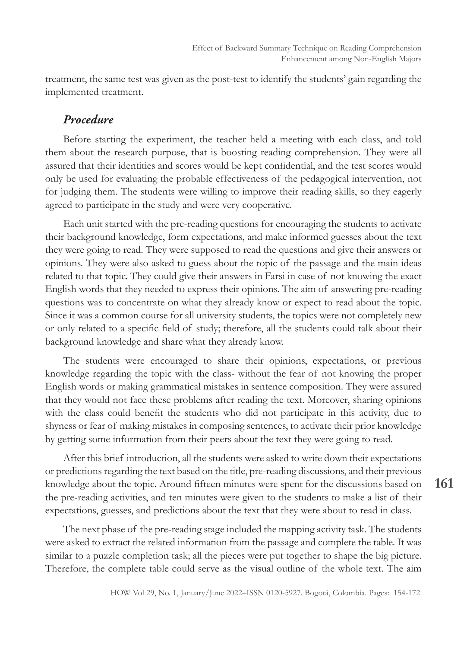treatment, the same test was given as the post-test to identify the students' gain regarding the implemented treatment.

#### *Procedure*

Before starting the experiment, the teacher held a meeting with each class, and told them about the research purpose, that is boosting reading comprehension. They were all assured that their identities and scores would be kept confidential, and the test scores would only be used for evaluating the probable effectiveness of the pedagogical intervention, not for judging them. The students were willing to improve their reading skills, so they eagerly agreed to participate in the study and were very cooperative.

Each unit started with the pre-reading questions for encouraging the students to activate their background knowledge, form expectations, and make informed guesses about the text they were going to read. They were supposed to read the questions and give their answers or opinions. They were also asked to guess about the topic of the passage and the main ideas related to that topic. They could give their answers in Farsi in case of not knowing the exact English words that they needed to express their opinions. The aim of answering pre-reading questions was to concentrate on what they already know or expect to read about the topic. Since it was a common course for all university students, the topics were not completely new or only related to a specific field of study; therefore, all the students could talk about their background knowledge and share what they already know.

The students were encouraged to share their opinions, expectations, or previous knowledge regarding the topic with the class- without the fear of not knowing the proper English words or making grammatical mistakes in sentence composition. They were assured that they would not face these problems after reading the text. Moreover, sharing opinions with the class could benefit the students who did not participate in this activity, due to shyness or fear of making mistakes in composing sentences, to activate their prior knowledge by getting some information from their peers about the text they were going to read.

After this brief introduction, all the students were asked to write down their expectations or predictions regarding the text based on the title, pre-reading discussions, and their previous knowledge about the topic. Around fifteen minutes were spent for the discussions based on the pre-reading activities, and ten minutes were given to the students to make a list of their expectations, guesses, and predictions about the text that they were about to read in class.

The next phase of the pre-reading stage included the mapping activity task. The students were asked to extract the related information from the passage and complete the table. It was similar to a puzzle completion task; all the pieces were put together to shape the big picture. Therefore, the complete table could serve as the visual outline of the whole text. The aim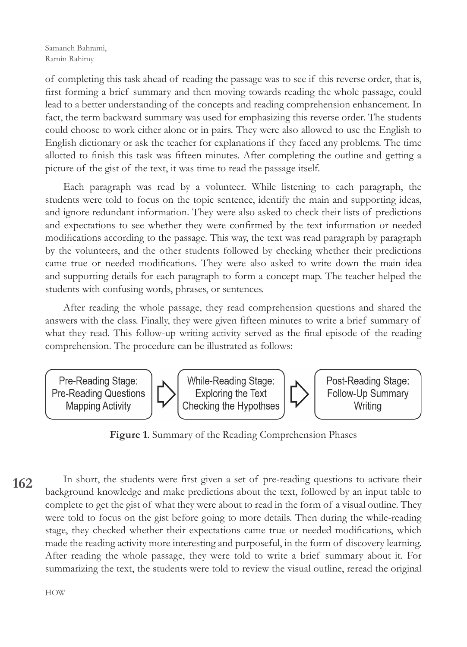of completing this task ahead of reading the passage was to see if this reverse order, that is, first forming a brief summary and then moving towards reading the whole passage, could lead to a better understanding of the concepts and reading comprehension enhancement. In fact, the term backward summary was used for emphasizing this reverse order. The students could choose to work either alone or in pairs. They were also allowed to use the English to English dictionary or ask the teacher for explanations if they faced any problems. The time allotted to finish this task was fifteen minutes. After completing the outline and getting a picture of the gist of the text, it was time to read the passage itself.

Each paragraph was read by a volunteer. While listening to each paragraph, the students were told to focus on the topic sentence, identify the main and supporting ideas, and ignore redundant information. They were also asked to check their lists of predictions and expectations to see whether they were confirmed by the text information or needed modifications according to the passage. This way, the text was read paragraph by paragraph by the volunteers, and the other students followed by checking whether their predictions came true or needed modifications. They were also asked to write down the main idea and supporting details for each paragraph to form a concept map. The teacher helped the students with confusing words, phrases, or sentences.

After reading the whole passage, they read comprehension questions and shared the answers with the class. Finally, they were given fifteen minutes to write a brief summary of what they read. This follow-up writing activity served as the final episode of the reading comprehension. The procedure can be illustrated as follows:



**Figure 1**. Summary of the Reading Comprehension Phases

**162** In short, the students were first given a set of pre-reading questions to activate their background knowledge and make predictions about the text, followed by an input table to complete to get the gist of what they were about to read in the form of a visual outline. They were told to focus on the gist before going to more details. Then during the while-reading stage, they checked whether their expectations came true or needed modifications, which made the reading activity more interesting and purposeful, in the form of discovery learning. After reading the whole passage, they were told to write a brief summary about it. For summarizing the text, the students were told to review the visual outline, reread the original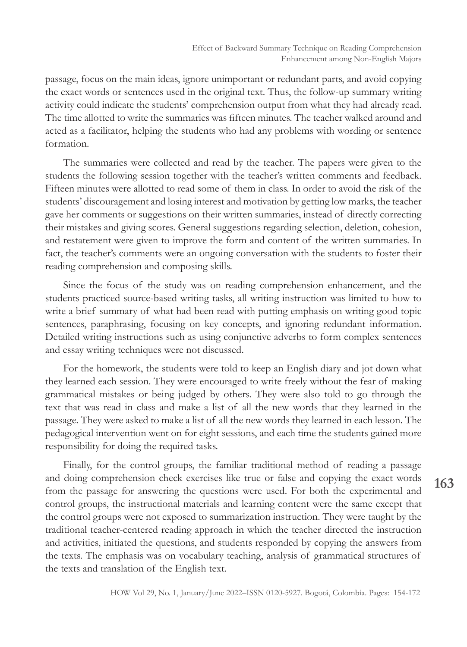passage, focus on the main ideas, ignore unimportant or redundant parts, and avoid copying the exact words or sentences used in the original text. Thus, the follow-up summary writing activity could indicate the students' comprehension output from what they had already read. The time allotted to write the summaries was fifteen minutes. The teacher walked around and acted as a facilitator, helping the students who had any problems with wording or sentence formation.

The summaries were collected and read by the teacher. The papers were given to the students the following session together with the teacher's written comments and feedback. Fifteen minutes were allotted to read some of them in class. In order to avoid the risk of the students' discouragement and losing interest and motivation by getting low marks, the teacher gave her comments or suggestions on their written summaries, instead of directly correcting their mistakes and giving scores. General suggestions regarding selection, deletion, cohesion, and restatement were given to improve the form and content of the written summaries. In fact, the teacher's comments were an ongoing conversation with the students to foster their reading comprehension and composing skills.

Since the focus of the study was on reading comprehension enhancement, and the students practiced source-based writing tasks, all writing instruction was limited to how to write a brief summary of what had been read with putting emphasis on writing good topic sentences, paraphrasing, focusing on key concepts, and ignoring redundant information. Detailed writing instructions such as using conjunctive adverbs to form complex sentences and essay writing techniques were not discussed.

For the homework, the students were told to keep an English diary and jot down what they learned each session. They were encouraged to write freely without the fear of making grammatical mistakes or being judged by others. They were also told to go through the text that was read in class and make a list of all the new words that they learned in the passage. They were asked to make a list of all the new words they learned in each lesson. The pedagogical intervention went on for eight sessions, and each time the students gained more responsibility for doing the required tasks.

Finally, for the control groups, the familiar traditional method of reading a passage and doing comprehension check exercises like true or false and copying the exact words from the passage for answering the questions were used. For both the experimental and control groups, the instructional materials and learning content were the same except that the control groups were not exposed to summarization instruction. They were taught by the traditional teacher-centered reading approach in which the teacher directed the instruction and activities, initiated the questions, and students responded by copying the answers from the texts. The emphasis was on vocabulary teaching, analysis of grammatical structures of the texts and translation of the English text.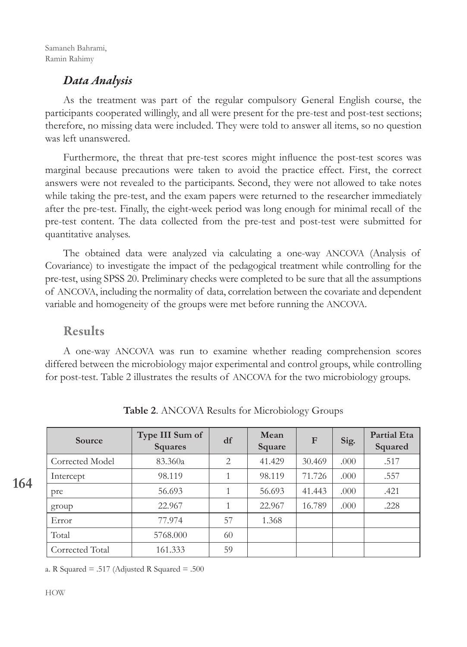Samaneh Bahrami, Ramin Rahimy

## *Data Analysis*

As the treatment was part of the regular compulsory General English course, the participants cooperated willingly, and all were present for the pre-test and post-test sections; therefore, no missing data were included. They were told to answer all items, so no question was left unanswered.

Furthermore, the threat that pre-test scores might influence the post-test scores was marginal because precautions were taken to avoid the practice effect. First, the correct answers were not revealed to the participants. Second, they were not allowed to take notes while taking the pre-test, and the exam papers were returned to the researcher immediately after the pre-test. Finally, the eight-week period was long enough for minimal recall of the pre-test content. The data collected from the pre-test and post-test were submitted for quantitative analyses.

The obtained data were analyzed via calculating a one-way ANCOVA (Analysis of Covariance) to investigate the impact of the pedagogical treatment while controlling for the pre-test, using SPSS 20. Preliminary checks were completed to be sure that all the assumptions of ANCOVA, including the normality of data, correlation between the covariate and dependent variable and homogeneity of the groups were met before running the ANCOVA.

#### Results

A one-way ANCOVA was run to examine whether reading comprehension scores differed between the microbiology major experimental and control groups, while controlling for post-test. Table 2 illustrates the results of ANCOVA for the two microbiology groups.

| Source          | Type III Sum of<br><b>Squares</b> | df             | Mean<br>Square | $\mathbf{F}$ | Sig. | <b>Partial Eta</b><br>Squared |
|-----------------|-----------------------------------|----------------|----------------|--------------|------|-------------------------------|
| Corrected Model | 83.360a                           | $\overline{2}$ | 41.429         | 30.469       | .000 | .517                          |
| Intercept       | 98.119                            |                | 98.119         | 71.726       | .000 | .557                          |
| pre             | 56.693                            |                | 56.693         | 41.443       | .000 | .421                          |
| group           | 22.967                            | 1              | 22.967         | 16.789       | .000 | .228                          |
| Error           | 77.974                            | 57             | 1.368          |              |      |                               |
| Total           | 5768.000                          | 60             |                |              |      |                               |
| Corrected Total | 161.333                           | 59             |                |              |      |                               |

**Table 2**. ANCOVA Results for Microbiology Groups

a. R Squared  $= .517$  (Adjusted R Squared  $= .500$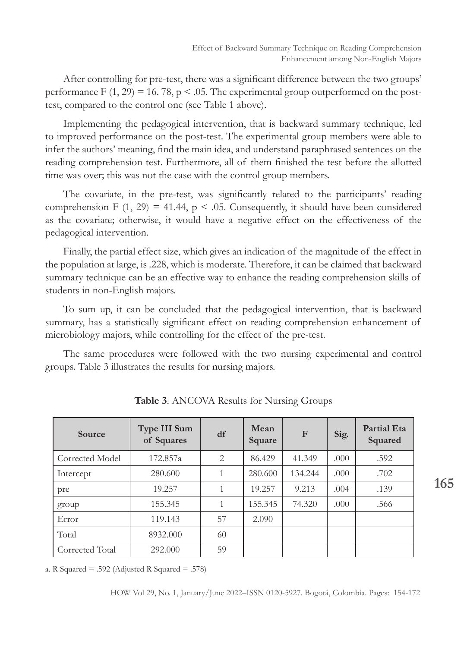After controlling for pre-test, there was a significant difference between the two groups' performance F  $(1, 29) = 16.78$ , p < .05. The experimental group outperformed on the posttest, compared to the control one (see Table 1 above).

Implementing the pedagogical intervention, that is backward summary technique, led to improved performance on the post-test. The experimental group members were able to infer the authors' meaning, find the main idea, and understand paraphrased sentences on the reading comprehension test. Furthermore, all of them finished the test before the allotted time was over; this was not the case with the control group members.

The covariate, in the pre-test, was significantly related to the participants' reading comprehension F  $(1, 29) = 41.44$ , p < .05. Consequently, it should have been considered as the covariate; otherwise, it would have a negative effect on the effectiveness of the pedagogical intervention.

Finally, the partial effect size, which gives an indication of the magnitude of the effect in the population at large, is .228, which is moderate. Therefore, it can be claimed that backward summary technique can be an effective way to enhance the reading comprehension skills of students in non-English majors.

To sum up, it can be concluded that the pedagogical intervention, that is backward summary, has a statistically significant effect on reading comprehension enhancement of microbiology majors, while controlling for the effect of the pre-test.

The same procedures were followed with the two nursing experimental and control groups. Table 3 illustrates the results for nursing majors.

| <b>Source</b>   | Type III Sum<br>of Squares | df | Mean<br>Square | $\mathbf{F}$ | Sig. | <b>Partial Eta</b><br>Squared |
|-----------------|----------------------------|----|----------------|--------------|------|-------------------------------|
| Corrected Model | 172.857a                   | 2  | 86.429         | 41.349       | .000 | .592                          |
| Intercept       | 280.600                    | 1  | 280.600        | 134.244      | .000 | .702                          |
| pre             | 19.257                     |    | 19.257         | 9.213        | .004 | .139                          |
| group           | 155.345                    |    | 155.345        | 74.320       | .000 | .566                          |
| Error           | 119.143                    | 57 | 2.090          |              |      |                               |
| Total           | 8932.000                   | 60 |                |              |      |                               |
| Corrected Total | 292.000                    | 59 |                |              |      |                               |

**Table 3**. ANCOVA Results for Nursing Groups

a. R Squared  $= .592$  (Adjusted R Squared  $= .578$ )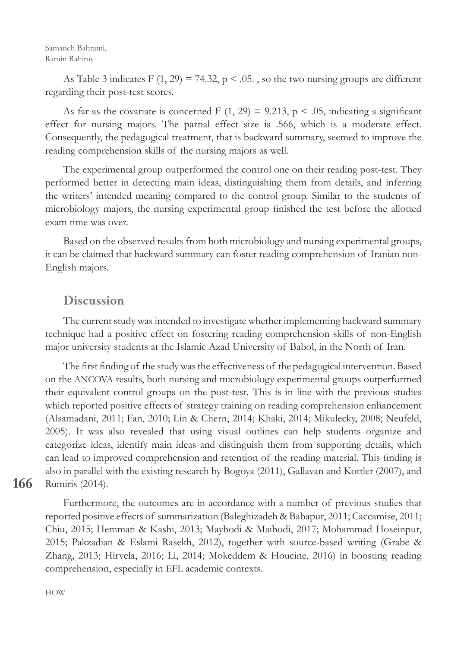Samaneh Bahrami, Ramin Rahimy

As Table 3 indicates F  $(1, 29) = 74.32$ , p  $\leq$  0.05., so the two nursing groups are different regarding their post-test scores.

As far as the covariate is concerned F  $(1, 29) = 9.213$ , p < .05, indicating a significant effect for nursing majors. The partial effect size is .566, which is a moderate effect. Consequently, the pedagogical treatment, that is backward summary, seemed to improve the reading comprehension skills of the nursing majors as well.

The experimental group outperformed the control one on their reading post-test. They performed better in detecting main ideas, distinguishing them from details, and inferring the writers' intended meaning compared to the control group. Similar to the students of microbiology majors, the nursing experimental group finished the test before the allotted exam time was over.

Based on the observed results from both microbiology and nursing experimental groups, it can be claimed that backward summary can foster reading comprehension of Iranian non-English majors.

# Discussion

The current study was intended to investigate whether implementing backward summary technique had a positive effect on fostering reading comprehension skills of non-English major university students at the Islamic Azad University of Babol, in the North of Iran.

The first finding of the study was the effectiveness of the pedagogical intervention. Based on the ANCOVA results, both nursing and microbiology experimental groups outperformed their equivalent control groups on the post-test. This is in line with the previous studies which reported positive effects of strategy training on reading comprehension enhancement (Alsamadani, 2011; Fan, 2010; Lin & Chern, 2014; Khaki, 2014; Mikulecky, 2008; Neufeld, 2005). It was also revealed that using visual outlines can help students organize and categorize ideas, identify main ideas and distinguish them from supporting details, which can lead to improved comprehension and retention of the reading material. This finding is also in parallel with the existing research by Bogoya (2011), Gallavan and Kottler (2007), and Rumiris (2014).

**166**

Furthermore, the outcomes are in accordance with a number of previous studies that reported positive effects of summarization (Baleghizadeh & Babapur, 2011; Caccamise, 2011; Chiu, 2015; Hemmati & Kashi, 2013; Maybodi & Maibodi, 2017; Mohammad Hoseinpur, 2015; Pakzadian & Eslami Rasekh, 2012), together with source-based writing (Grabe & Zhang, 2013; Hirvela, 2016; Li, 2014; Mokeddem & Houcine, 2016) in boosting reading comprehension, especially in EFL academic contexts.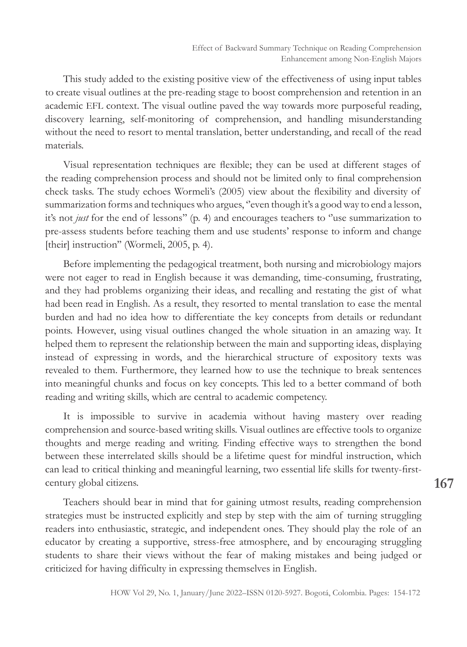This study added to the existing positive view of the effectiveness of using input tables to create visual outlines at the pre-reading stage to boost comprehension and retention in an academic EFL context. The visual outline paved the way towards more purposeful reading, discovery learning, self-monitoring of comprehension, and handling misunderstanding without the need to resort to mental translation, better understanding, and recall of the read materials.

Visual representation techniques are flexible; they can be used at different stages of the reading comprehension process and should not be limited only to final comprehension check tasks. The study echoes Wormeli's (2005) view about the flexibility and diversity of summarization forms and techniques who argues, "even though it's a good way to end a lesson, it's not *just* for the end of lessons'' (p. 4) and encourages teachers to ''use summarization to pre-assess students before teaching them and use students' response to inform and change [their] instruction" (Wormeli, 2005, p. 4).

Before implementing the pedagogical treatment, both nursing and microbiology majors were not eager to read in English because it was demanding, time-consuming, frustrating, and they had problems organizing their ideas, and recalling and restating the gist of what had been read in English. As a result, they resorted to mental translation to ease the mental burden and had no idea how to differentiate the key concepts from details or redundant points. However, using visual outlines changed the whole situation in an amazing way. It helped them to represent the relationship between the main and supporting ideas, displaying instead of expressing in words, and the hierarchical structure of expository texts was revealed to them. Furthermore, they learned how to use the technique to break sentences into meaningful chunks and focus on key concepts. This led to a better command of both reading and writing skills, which are central to academic competency.

It is impossible to survive in academia without having mastery over reading comprehension and source-based writing skills. Visual outlines are effective tools to organize thoughts and merge reading and writing. Finding effective ways to strengthen the bond between these interrelated skills should be a lifetime quest for mindful instruction, which can lead to critical thinking and meaningful learning, two essential life skills for twenty-firstcentury global citizens.

Teachers should bear in mind that for gaining utmost results, reading comprehension strategies must be instructed explicitly and step by step with the aim of turning struggling readers into enthusiastic, strategic, and independent ones. They should play the role of an educator by creating a supportive, stress-free atmosphere, and by encouraging struggling students to share their views without the fear of making mistakes and being judged or criticized for having difficulty in expressing themselves in English.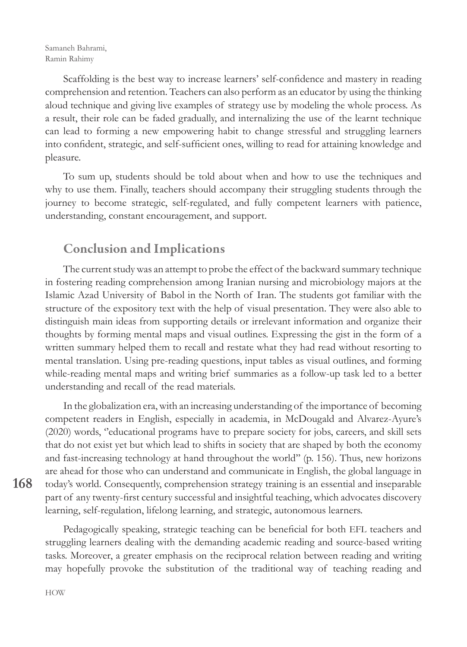Scaffolding is the best way to increase learners' self-confidence and mastery in reading comprehension and retention. Teachers can also perform as an educator by using the thinking aloud technique and giving live examples of strategy use by modeling the whole process. As a result, their role can be faded gradually, and internalizing the use of the learnt technique can lead to forming a new empowering habit to change stressful and struggling learners into confident, strategic, and self-sufficient ones, willing to read for attaining knowledge and pleasure.

To sum up, students should be told about when and how to use the techniques and why to use them. Finally, teachers should accompany their struggling students through the journey to become strategic, self-regulated, and fully competent learners with patience, understanding, constant encouragement, and support.

# Conclusion and Implications

The current study was an attempt to probe the effect of the backward summary technique in fostering reading comprehension among Iranian nursing and microbiology majors at the Islamic Azad University of Babol in the North of Iran. The students got familiar with the structure of the expository text with the help of visual presentation. They were also able to distinguish main ideas from supporting details or irrelevant information and organize their thoughts by forming mental maps and visual outlines. Expressing the gist in the form of a written summary helped them to recall and restate what they had read without resorting to mental translation. Using pre-reading questions, input tables as visual outlines, and forming while-reading mental maps and writing brief summaries as a follow-up task led to a better understanding and recall of the read materials.

In the globalization era, with an increasing understanding of the importance of becoming competent readers in English, especially in academia, in McDougald and Alvarez-Ayure's (2020) words, ''educational programs have to prepare society for jobs, careers, and skill sets that do not exist yet but which lead to shifts in society that are shaped by both the economy and fast-increasing technology at hand throughout the world'' (p. 156). Thus, new horizons are ahead for those who can understand and communicate in English, the global language in today's world. Consequently, comprehension strategy training is an essential and inseparable part of any twenty-first century successful and insightful teaching, which advocates discovery learning, self-regulation, lifelong learning, and strategic, autonomous learners.

Pedagogically speaking, strategic teaching can be beneficial for both EFL teachers and struggling learners dealing with the demanding academic reading and source-based writing tasks. Moreover, a greater emphasis on the reciprocal relation between reading and writing may hopefully provoke the substitution of the traditional way of teaching reading and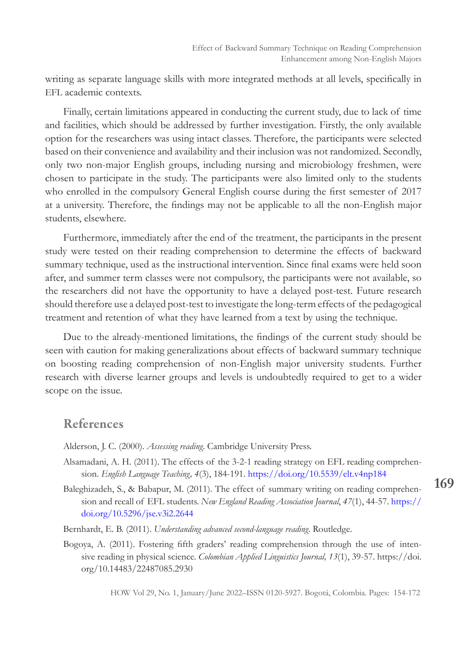writing as separate language skills with more integrated methods at all levels, specifically in EFL academic contexts.

Finally, certain limitations appeared in conducting the current study, due to lack of time and facilities, which should be addressed by further investigation. Firstly, the only available option for the researchers was using intact classes. Therefore, the participants were selected based on their convenience and availability and their inclusion was not randomized. Secondly, only two non-major English groups, including nursing and microbiology freshmen, were chosen to participate in the study. The participants were also limited only to the students who enrolled in the compulsory General English course during the first semester of 2017 at a university. Therefore, the findings may not be applicable to all the non-English major students, elsewhere.

Furthermore, immediately after the end of the treatment, the participants in the present study were tested on their reading comprehension to determine the effects of backward summary technique, used as the instructional intervention. Since final exams were held soon after, and summer term classes were not compulsory, the participants were not available, so the researchers did not have the opportunity to have a delayed post-test. Future research should therefore use a delayed post-test to investigate the long-term effects of the pedagogical treatment and retention of what they have learned from a text by using the technique.

Due to the already-mentioned limitations, the findings of the current study should be seen with caution for making generalizations about effects of backward summary technique on boosting reading comprehension of non-English major university students. Further research with diverse learner groups and levels is undoubtedly required to get to a wider scope on the issue.

#### References

- Alderson, J. C. (2000). *Assessing reading*. Cambridge University Press.
- Alsamadani, A. H. (2011). The effects of the 3-2-1 reading strategy on EFL reading comprehension. *English Language Teaching, 4*(3), 184-191. https://doi.org/10.5539/elt.v4np184
- Baleghizadeh, S., & Babapur, M. (2011). The effect of summary writing on reading comprehension and recall of EFL students. *New England Reading Association Journal*, *47*(1), 44-57. https:// doi.org/10.5296/jse.v3i2.2644
- Bernhardt, E. B. (2011). *Understanding advanced second-language reading*. Routledge.
- Bogoya, A. (2011). Fostering fifth graders' reading comprehension through the use of intensive reading in physical science. *Colombian Applied Linguistics Journal, 13*(1), 39-57. https://doi. org/10.14483/22487085.2930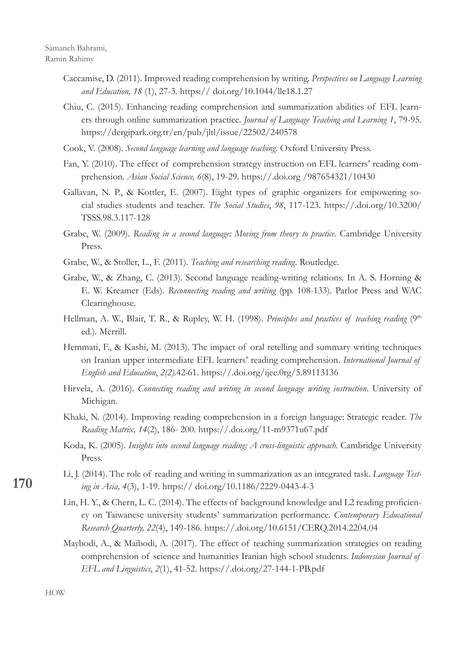- Caccamise, D. (2011). Improved reading comprehension by writing. *Perspectives on Language Learning and Education, 18* (1), 27-3. https:// doi.org/10.1044/lle18.1.27
- Chiu, C. (2015). Enhancing reading comprehension and summarization abilities of EFL learners through online summarization practice. *Journal of Language Teaching and Learning 1*, 79-95. https://dergipark.org.tr/en/pub/jltl/issue/22502/240578
- Cook, V. (2008). *Second language learning and language teaching.* Oxford University Press.
- Fan, Y. (2010). The effect of comprehension strategy instruction on EFL learners' reading comprehension. *Asian Social Science, 6*(8), 19-29. https://.doi.org /987654321/10430
- Gallavan, N. P., & Kottler, E. (2007). Eight types of graphic organizers for empowering social studies students and teacher. *The Social Studies*, *98*, 117-123. https://.doi.org/10.3200/ TSSS.98.3.117-128
- Grabe, W. (2009). *Reading in a second language: Moving from theory to practice*. Cambridge University Press.
- Grabe, W., & Stoller, L., F. (2011). *Teaching and researching reading.* Routledge.
- Grabe, W., & Zhang, C. (2013). Second language reading-writing relations. In A. S. Horning & E. W. Kreamer (Eds). *Reconnecting reading and writing* (pp. 108-133). Parlor Press and WAC Clearinghouse.
- Hellman, A. W., Blair, T. R., & Rupley, W. H. (1998). *Principles and practices of teaching reading* (9<sup>th</sup> ed.)*.* Merrill.
- Hemmati, F., & Kashi, M. (2013). The impact of oral retelling and summary writing techniques on Iranian upper intermediate EFL learners' reading comprehension. *International Journal of English and Education*, *2(2).*42*-*61. https://.doi.org/ijee.0rg/5.89113136
- Hirvela, A. (2016). *Connecting reading and writing in second language writing instruction*. University of Michigan.
- Khaki, N. (2014). Improving reading comprehension in a foreign language: Strategic reader. *The Reading Matrix, 14*(2), 186- 200. https://.doi.org/11-m9371u67.pdf
- Koda, K. (2005). *Insights into second language reading: A cross-linguistic approach.* Cambridge University Press.
- Li, J. (2014). The role of reading and writing in summarization as an integrated task. *Language Testing in Asia, 4*(3), 1-19. https:// doi.org/10.1186/2229-0443-4-3
- Lin, H. Y., & Chern, L. C. (2014). The effects of background knowledge and L2 reading proficiency on Taiwanese university students' summarization performance. *Contemporary Educational Research Quarterly, 22*(4), 149-186. https://.doi.org/10.6151/CERQ.2014.2204.04
- Maybodi, A., & Maibodi, A. (2017). The effect of teaching summarization strategies on reading comprehension of science and humanities Iranian high school students. *Indonesian Journal of EFL and Linguistics*, *2*(1), 41-52. https://.doi.org/27-144-1-PB.pdf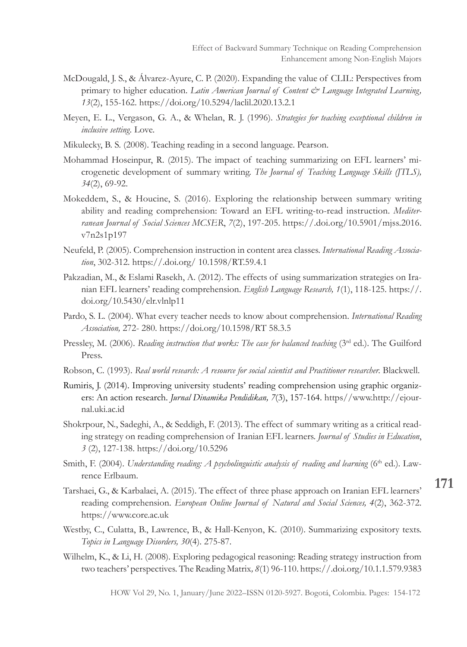- McDougald, J. S., & Álvarez-Ayure, C. P. (2020). Expanding the value of CLIL: Perspectives from primary to higher education. *Latin American Journal of Content & Language Integrated Learning*, *13*(2), 155-162. https://doi.org/10.5294/laclil.2020.13.2.1
- Meyen, E. L., Vergason, G. A., & Whelan, R. J. (1996). *Strategies for teaching exceptional children in inclusive setting.* Love.
- Mikulecky, B. S. (2008). Teaching reading in a second language. Pearson.
- Mohammad Hoseinpur, R. (2015). The impact of teaching summarizing on EFL learners' microgenetic development of summary writing. *The Journal of Teaching Language Skills (JTLS), 34*(2), 69-92.
- Mokeddem, S., & Houcine, S. (2016). Exploring the relationship between summary writing ability and reading comprehension: Toward an EFL writing-to-read instruction. *Mediterranean Journal of Social Sciences MCSER*, *7*(2), 197-205. https://.doi.org/10.5901/mjss.2016. v7n2s1p197
- Neufeld, P. (2005). Comprehension instruction in content area classes. *International Reading Association*, 302-312. https://.doi.org/ 10.1598/RT.59.4.1
- Pakzadian, M., & Eslami Rasekh, A. (2012). The effects of using summarization strategies on Iranian EFL learners' reading comprehension. *English Language Research, 1*(1), 118-125. https://. doi.org/10.5430/elr.vlnlp11
- Pardo, S. L. (2004). What every teacher needs to know about comprehension. *International Reading Association,* 272- 280. https://doi.org/10.1598/RT 58.3.5
- Pressley, M. (2006). *Reading instruction that works: The case for balanced teaching* (3<sup>rd</sup> ed.). The Guilford Press.
- Robson, C. (1993). *Real world research: A resource for social scientist and Practitioner researcher.* Blackwell.
- Rumiris, J. (2014). Improving university students' reading comprehension using graphic organizers: An action research. *Jurnal Dinamika Pendidikan, 7*(3), 157-164. https//www.http://ejournal.uki.ac.id
- Shokrpour, N., Sadeghi, A., & Seddigh, F. (2013). The effect of summary writing as a critical reading strategy on reading comprehension of Iranian EFL learners. *Journal of Studies in Education*, *3* (2), 127-138. https://doi.org/10.5296
- Smith, F. (2004). *Understanding reading: A psycholinguistic analysis of reading and learning* (6<sup>th</sup> ed.). Lawrence Erlbaum.
- Tarshaei, G., & Karbalaei, A. (2015). The effect of three phase approach on Iranian EFL learners' reading comprehension. *European Online Journal of Natural and Social Sciences, 4*(2), 362-372. https://www.core.ac.uk
- Westby, C., Culatta, B., Lawrence, B., & Hall-Kenyon, K. (2010). Summarizing expository texts. *Topics in Language Disorders, 30*(4). 275-87.
- Wilhelm, K., & Li, H. (2008). Exploring pedagogical reasoning: Reading strategy instruction from two teachers' perspectives. The Reading Matrix*, 8*(1) 96-110. https://.doi.org/10.1.1.579.9383